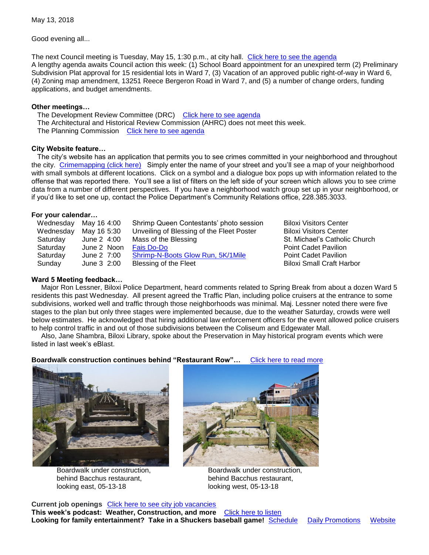Good evening all...

The next Council meeting is Tuesday, May 15, 1:30 p.m., at city hall. [Click here to see the agenda](https://www.biloxi.ms.us/agendas/citycouncil/2018/051518/051518agenda.pdf) A lengthy agenda awaits Council action this week: (1) School Board appointment for an unexpired term (2) Preliminary Subdivision Plat approval for 15 residential lots in Ward 7, (3) Vacation of an approved public right-of-way in Ward 6, (4) Zoning map amendment, 13251 Reece Bergeron Road in Ward 7, and (5) a number of change orders, funding applications, and budget amendments.

#### **Other meetings…**

The Development Review Committee (DRC) [Click here to see agenda](https://www.biloxi.ms.us/agendas/DRC/2018/DRC-2018-05-16.pdf) The Architectural and Historical Review Commission (AHRC) does not meet this week. The Planning Commission [Click here to see agenda](https://www.biloxi.ms.us/agendas/planning/2018/PC-05-17-18.pdf)

## **City Website feature…**

 The city's website has an application that permits you to see crimes committed in your neighborhood and throughout the city. [Crimemapping \(click here\)](https://www.crimemapping.com/map/ms/biloxi) Simply enter the name of your street and you'll see a map of your neighborhood with small symbols at different locations. Click on a symbol and a dialogue box pops up with information related to the offense that was reported there. You'll see a list of filters on the left side of your screen which allows you to see crime data from a number of different perspectives. If you have a neighborhood watch group set up in your neighborhood, or if you'd like to set one up, contact the Police Department's Community Relations office, 228.385.3033.

### **For your calendar…**

| Wednesday | May 16 4:00 | Shrimp Queen Contestants' photo session   |
|-----------|-------------|-------------------------------------------|
| Wednesday | May 16 5:30 | Unveiling of Blessing of the Fleet Poster |
| Saturday  | June 2 4:00 | Mass of the Blessing                      |
| Saturday  | June 2 Noon | <b>Fais Do-Do</b>                         |
| Saturday  | June 2 7:00 | Shrimp-N-Boots Glow Run, 5K/1Mile         |
| Sunday    | June 3 2:00 | Blessing of the Fleet                     |

ness Maloxi Visitors Center Biloxi Visitors Center St. Michael's Catholic Church **Point Cadet Pavilion** Point Cadet Pavilion Biloxi Small Craft Harbor

## **Ward 5 Meeting feedback…**

 Major Ron Lessner, Biloxi Police Department, heard comments related to Spring Break from about a dozen Ward 5 residents this past Wednesday. All present agreed the Traffic Plan, including police cruisers at the entrance to some subdivisions, worked well and traffic through those neighborhoods was minimal. Maj. Lessner noted there were five stages to the plan but only three stages were implemented because, due to the weather Saturday, crowds were well below estimates. He acknowledged that hiring additional law enforcement officers for the event allowed police cruisers to help control traffic in and out of those subdivisions between the Coliseum and Edgewater Mall.

 Also, Jane Shambra, Biloxi Library, spoke about the Preservation in May historical program events which were listed in last week's eBlast.

**Boardwalk construction continues behind "Restaurant Row"…** [Click here to read more](https://www.biloxi.ms.us/west-biloxi-boardwalk-becomes-reality/)



Boardwalk under construction, **Boardwalk under construction**, behind Bacchus restaurant, behind Bacchus restaurant, looking east, 05-13-18 looking west, 05-13-18



**Current job openings** [Click here to see city job vacancies](https://www.biloxi.ms.us/category/job-postings/) **This week's podcast: Weather, Construction, and more** [Click here to listen](https://www.biloxi.ms.us/city-desk/) Looking for family entertainment? Take in a Shuckers baseball game! [Schedule](http://www.milb.com/schedule/index.jsp?sid=t5015) [Daily Promotions](http://www.milb.com/content/page.jsp?ymd=20180306&content_id=267977638&sid=t5015&vkey=tickets) [Website](http://www.milb.com/index.jsp?sid=t5015)